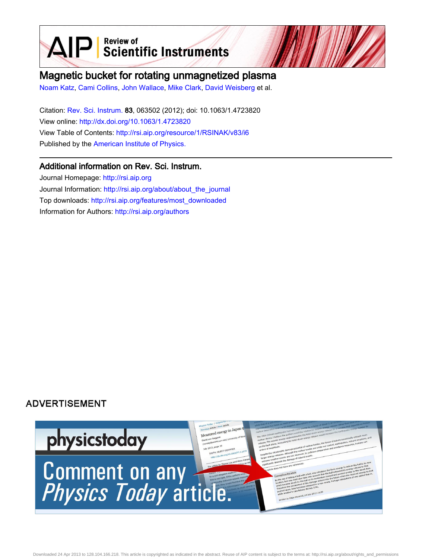$\mathbf{A} \mathbf{P}$  Scientific Instruments

# Magnetic bucket for rotating unmagnetized plasma

[Noam Katz](http://rsi.aip.org/search?sortby=newestdate&q=&searchzone=2&searchtype=searchin&faceted=faceted&key=AIP_ALL&possible1=Noam Katz&possible1zone=author&alias=&displayid=AIP&ver=pdfcov), [Cami Collins](http://rsi.aip.org/search?sortby=newestdate&q=&searchzone=2&searchtype=searchin&faceted=faceted&key=AIP_ALL&possible1=Cami Collins&possible1zone=author&alias=&displayid=AIP&ver=pdfcov), [John Wallace,](http://rsi.aip.org/search?sortby=newestdate&q=&searchzone=2&searchtype=searchin&faceted=faceted&key=AIP_ALL&possible1=John Wallace&possible1zone=author&alias=&displayid=AIP&ver=pdfcov) [Mike Clark](http://rsi.aip.org/search?sortby=newestdate&q=&searchzone=2&searchtype=searchin&faceted=faceted&key=AIP_ALL&possible1=Mike Clark&possible1zone=author&alias=&displayid=AIP&ver=pdfcov), [David Weisberg](http://rsi.aip.org/search?sortby=newestdate&q=&searchzone=2&searchtype=searchin&faceted=faceted&key=AIP_ALL&possible1=David Weisberg&possible1zone=author&alias=&displayid=AIP&ver=pdfcov) et al.

Citation: [Rev. Sci. Instrum.](http://rsi.aip.org?ver=pdfcov) 83, 063502 (2012); doi: 10.1063/1.4723820 View online: [http://dx.doi.org/10.1063/1.4723820](http://link.aip.org/link/doi/10.1063/1.4723820?ver=pdfcov) View Table of Contents: [http://rsi.aip.org/resource/1/RSINAK/v83/i6](http://rsi.aip.org/resource/1/RSINAK/v83/i6?ver=pdfcov) Published by the [American Institute of Physics.](http://www.aip.org/?ver=pdfcov)

# Additional information on Rev. Sci. Instrum.

Journal Homepage: [http://rsi.aip.org](http://rsi.aip.org?ver=pdfcov) Journal Information: [http://rsi.aip.org/about/about\\_the\\_journal](http://rsi.aip.org/about/about_the_journal?ver=pdfcov) Top downloads: [http://rsi.aip.org/features/most\\_downloaded](http://rsi.aip.org/features/most_downloaded?ver=pdfcov) Information for Authors: [http://rsi.aip.org/authors](http://rsi.aip.org/authors?ver=pdfcov)

# **ADVERTISEMENT**

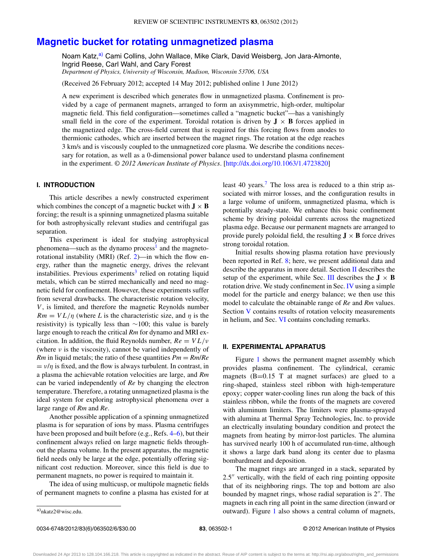# **[Magnetic bucket for rotating unmagnetized plasma](http://dx.doi.org/10.1063/1.4723820)**

Noam Katz,<sup>[a\)](#page-1-0)</sup> Cami Collins, John Wallace, Mike Clark, David Weisberg, Jon Jara-Almonte, Ingrid Reese, Carl Wahl, and Cary Forest *Department of Physics, University of Wisconsin, Madison, Wisconsin 53706, USA*

(Received 26 February 2012; accepted 14 May 2012; published online 1 June 2012)

A new experiment is described which generates flow in unmagnetized plasma. Confinement is provided by a cage of permanent magnets, arranged to form an axisymmetric, high-order, multipolar magnetic field. This field configuration—sometimes called a "magnetic bucket"—has a vanishingly small field in the core of the experiment. Toroidal rotation is driven by  $J \times B$  forces applied in the magnetized edge. The cross-field current that is required for this forcing flows from anodes to thermionic cathodes, which are inserted between the magnet rings. The rotation at the edge reaches 3 km/s and is viscously coupled to the unmagnetized core plasma. We describe the conditions necessary for rotation, as well as a 0-dimensional power balance used to understand plasma confinement in the experiment. *© 2012 American Institute of Physics*. [\[http://dx.doi.org/10.1063/1.4723820\]](http://dx.doi.org/10.1063/1.4723820)

## **I. INTRODUCTION**

This article describes a newly constructed experiment which combines the concept of a magnetic bucket with  $J \times B$ forcing; the result is a spinning unmagnetized plasma suitable for both astrophysically relevant studies and centrifugal gas separation.

This experiment is ideal for studying astrophysical phenomena—such as the dynamo process<sup>[1](#page-6-0)</sup> and the magnetorotational instability (MRI) (Ref. [2\)](#page-6-1)—in which the flow energy, rather than the magnetic energy, drives the relevant instabilities. Previous experiments<sup>[3](#page-6-2)</sup> relied on rotating liquid metals, which can be stirred mechanically and need no magnetic field for confinement. However, these experiments suffer from several drawbacks. The characteristic rotation velocity, *V*, is limited, and therefore the magnetic Reynolds number  $Rm = V L/\eta$  (where *L* is the characteristic size, and  $\eta$  is the resistivity) is typically less than ∼100; this value is barely large enough to reach the critical *Rm* for dynamo and MRI excitation. In addition, the fluid Reynolds number,  $Re = V L/v$ (where *ν* is the viscosity), cannot be varied independently of *Rm* in liquid metals; the ratio of these quantities  $Pm = Rm/Re$  $= v/\eta$  is fixed, and the flow is always turbulent. In contrast, in a plasma the achievable rotation velocities are large, and *Rm* can be varied independently of *Re* by changing the electron temperature. Therefore, a rotating unmagnetized plasma is the ideal system for exploring astrophysical phenomena over a large range of *Rm* and *Re*.

Another possible application of a spinning unmagnetized plasma is for separation of ions by mass. Plasma centrifuges have been proposed and built before (e.g., Refs. [4–](#page-6-3)[6\)](#page-6-4), but their confinement always relied on large magnetic fields throughout the plasma volume. In the present apparatus, the magnetic field needs only be large at the edge, potentially offering significant cost reduction. Moreover, since this field is due to permanent magnets, no power is required to maintain it.

The idea of using multicusp, or multipole magnetic fields of permanent magnets to confine a plasma has existed for at least 40 years.<sup>7</sup> The loss area is reduced to a thin strip associated with mirror losses, and the configuration results in a large volume of uniform, unmagnetized plasma, which is potentially steady-state. We enhance this basic confinement scheme by driving poloidal currents across the magnetized plasma edge. Because our permanent magnets are arranged to provide purely poloidal field, the resulting  $J \times B$  force drives strong toroidal rotation.

Initial results showing plasma rotation have previously been reported in Ref. [8;](#page-6-6) here, we present additional data and describe the apparatus in more detail. Section [II](#page-1-1) describes the setup of the experiment, while Sec. [III](#page-3-0) describes the  $J \times B$ rotation drive. We study confinement in Sec. [IV](#page-4-0) using a simple model for the particle and energy balance; we then use this model to calculate the obtainable range of *Re* and *Rm* values. Section [V](#page-5-0) contains results of rotation velocity measurements in helium, and Sec. [VI](#page-6-7) contains concluding remarks.

### <span id="page-1-1"></span>**II. EXPERIMENTAL APPARATUS**

Figure [1](#page-2-0) shows the permanent magnet assembly which provides plasma confinement. The cylindrical, ceramic magnets  $(B=0.15$  T at magnet surfaces) are glued to a ring-shaped, stainless steel ribbon with high-temperature epoxy; copper water-cooling lines run along the back of this stainless ribbon, while the fronts of the magnets are covered with aluminum limiters. The limiters were plasma-sprayed with alumina at Thermal Spray Technologies, Inc. to provide an electrically insulating boundary condition and protect the magnets from heating by mirror-lost particles. The alumina has survived nearly 100 h of accumulated run-time, although it shows a large dark band along its center due to plasma bombardment and deposition.

The magnet rings are arranged in a stack, separated by  $2.5$ " vertically, with the field of each ring pointing opposite that of its neighboring rings. The top and bottom are also bounded by magnet rings, whose radial separation is  $2<sup>n</sup>$ . The magnets in each ring all point in the same direction (inward or outward). Figure [1](#page-2-0) also shows a central column of magnets,

<span id="page-1-0"></span>a[\)nkatz2@wisc.edu.](mailto: nkatz2@wisc.edu)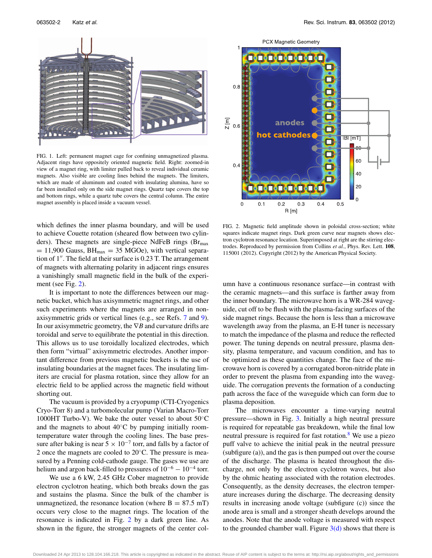<span id="page-2-0"></span>

FIG. 1. Left: permanent magnet cage for confining unmagnetized plasma. Adjacent rings have oppositely oriented magnetic field. Right: zoomed-in view of a magnet ring, with limiter pulled back to reveal individual ceramic magnets. Also visible are cooling lines behind the magnets. The limiters, which are made of aluminum and coated with insulating alumina, have so far been installed only on the side magnet rings. Quartz tape covers the top and bottom rings, while a quartz tube covers the central column. The entire magnet assembly is placed inside a vacuum vessel.

which defines the inner plasma boundary, and will be used to achieve Couette rotation (sheared flow between two cylinders). These magnets are single-piece NdFeB rings ( $Br<sub>max</sub>$ )  $= 11,900$  Gauss,  $BH_{max} = 35$  MGOe), with vertical separation of 1". The field at their surface is 0.23 T. The arrangement of magnets with alternating polarity in adjacent rings ensures a vanishingly small magnetic field in the bulk of the experiment (see Fig. [2\)](#page-2-1).

It is important to note the differences between our magnetic bucket, which has axisymmetric magnet rings, and other such experiments where the magnets are arranged in nonaxisymmetric grids or vertical lines (e.g., see Refs. [7](#page-6-5) and [9\)](#page-6-8). In our axisymmetric geometry, the ∇*B* and curvature drifts are toroidal and serve to equilibrate the potential in this direction. This allows us to use toroidally localized electrodes, which then form "virtual" axisymmetric electrodes. Another important difference from previous magnetic buckets is the use of insulating boundaries at the magnet faces. The insulating limiters are crucial for plasma rotation, since they allow for an electric field to be applied across the magnetic field without shorting out.

The vacuum is provided by a cryopump (CTI-Cryogenics Cryo-Torr 8) and a turbomolecular pump (Varian Macro-Torr 1000HT Turbo-V). We bake the outer vessel to about 50◦C and the magnets to about  $40^{\circ}$ C by pumping initially roomtemperature water through the cooling lines. The base pressure after baking is near  $5 \times 10^{-7}$  torr, and falls by a factor of 2 once the magnets are cooled to 20◦C. The pressure is measured by a Penning cold-cathode gauge. The gases we use are helium and argon back-filled to pressures of  $10^{-6} - 10^{-4}$  torr.

We use a 6 kW, 2.45 GHz Cober magnetron to provide electron cyclotron heating, which both breaks down the gas and sustains the plasma. Since the bulk of the chamber is unmagnetized, the resonance location (where  $B = 87.5$  mT) occurs very close to the magnet rings. The location of the resonance is indicated in Fig. [2](#page-2-1) by a dark green line. As shown in the figure, the stronger magnets of the center col-

<span id="page-2-1"></span>

FIG. 2. Magnetic field amplitude shown in poloidal cross-section; white squares indicate magnet rings. Dark green curve near magnets shows electron cyclotron resonance location. Superimposed at right are the stirring electrodes. Reproduced by permission from Collins *et al.*, Phys. Rev. Lett. **108**, 115001 (2012). Copyright (2012) by the American Physical Society.

umn have a continuous resonance surface—in contrast with the ceramic magnets—and this surface is farther away from the inner boundary. The microwave horn is a WR-284 waveguide, cut off to be flush with the plasma-facing surfaces of the side magnet rings. Because the horn is less than a microwave wavelength away from the plasma, an E-H tuner is necessary to match the impedance of the plasma and reduce the reflected power. The tuning depends on neutral pressure, plasma density, plasma temperature, and vacuum condition, and has to be optimized as these quantities change. The face of the microwave horn is covered by a corrugated boron-nitride plate in order to prevent the plasma from expanding into the waveguide. The corrugation prevents the formation of a conducting path across the face of the waveguide which can form due to plasma deposition.

The microwaves encounter a time-varying neutral pressure—shown in Fig. [3.](#page-3-1) Initially a high neutral pressure is required for repeatable gas breakdown, while the final low neutral pressure is required for fast rotation.<sup>8</sup> We use a piezo puff valve to achieve the initial peak in the neutral pressure (subfigure (a)), and the gas is then pumped out over the course of the discharge. The plasma is heated throughout the discharge, not only by the electron cyclotron waves, but also by the ohmic heating associated with the rotation electrodes. Consequently, as the density decreases, the electron temperature increases during the discharge. The decreasing density results in increasing anode voltage (subfigure (c)) since the anode area is small and a stronger sheath develops around the anodes. Note that the anode voltage is measured with respect to the grounded chamber wall. Figure  $3(d)$  shows that there is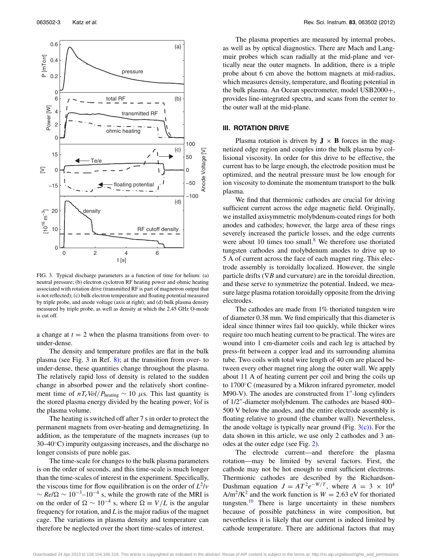<span id="page-3-1"></span>

FIG. 3. Typical discharge parameters as a function of time for helium: (a) neutral pressure; (b) electron cyclotron RF heating power and ohmic heating associated with rotation drive (transmitted RF is part of magnetron output that is not reflected); (c) bulk electron temperature and floating potential measured by triple probe, and anode voltage (axis at right); and (d) bulk plasma density measured by triple probe, as well as density at which the 2.45 GHz O-mode is cut off.

a change at  $t = 2$  when the plasma transitions from over- to under-dense.

The density and temperature profiles are flat in the bulk plasma (see Fig. 3 in Ref. [8\)](#page-6-6); at the transition from over- to under-dense, these quantities change throughout the plasma. The relatively rapid loss of density is related to the sudden change in absorbed power and the relatively short confinement time of  $nT_e$ *Vol*/ $P_{\text{heating}} \sim 10 \mu s$ . This last quantity is the stored plasma energy divided by the heating power; *Vol* is the plasma volume.

The heating is switched off after 7 s in order to protect the permanent magnets from over-heating and demagnetizing. In addition, as the temperature of the magnets increases (up to 30–40◦C) impurity outgassing increases, and the discharge no longer consists of pure noble gas.

The time-scale for changes to the bulk plasma parameters is on the order of seconds, and this time-scale is much longer than the time-scales of interest in the experiment. Specifically, the viscous time for flow equilibration is on the order of  $L^2/v$  $\sim$  *Re*/ $\Omega$  ~ 10<sup>-3</sup>–10<sup>-4</sup> s, while the growth rate of the MRI is on the order of  $\Omega \sim 10^{-4}$  s, where  $\Omega \equiv V/L$  is the angular frequency for rotation, and *L* is the major radius of the magnet cage. The variations in plasma density and temperature can therefore be neglected over the short time-scales of interest.

The plasma properties are measured by internal probes, as well as by optical diagnostics. There are Mach and Langmuir probes which scan radially at the mid-plane and vertically near the outer magnets. In addition, there is a triple probe about 6 cm above the bottom magnets at mid-radius, which measures density, temperature, and floating potential in the bulk plasma. An Ocean spectrometer, model USB2000+, provides line-integrated spectra, and scans from the center to the outer wall at the mid-plane.

#### <span id="page-3-0"></span>**III. ROTATION DRIVE**

Plasma rotation is driven by  $J \times B$  forces in the magnetized edge region and couples into the bulk plasma by collisional viscosity. In order for this drive to be effective, the current has to be large enough, the electrode position must be optimized, and the neutral pressure must be low enough for ion viscosity to dominate the momentum transport to the bulk plasma.

We find that thermionic cathodes are crucial for driving sufficient current across the edge magnetic field. Originally, we installed axisymmetric molybdenum-coated rings for both anodes and cathodes; however, the large area of these rings severely increased the particle losses, and the edge currents were about 10 times too small. $8$  We therefore use thoriated tungsten cathodes and molybdenum anodes to drive up to 5 A of current across the face of each magnet ring. This electrode assembly is toroidally localized. However, the single particle drifts ( $∇B$  and curvature) are in the toroidal direction, and these serve to symmetrize the potential. Indeed, we measure large plasma rotation toroidally opposite from the driving electrodes.

The cathodes are made from 1% thoriated tungsten wire of diameter 0.38 mm. We find empirically that this diameter is ideal since thinner wires fail too quickly, while thicker wires require too much heating current to be practical. The wires are wound into 1 cm-diameter coils and each leg is attached by press-fit between a copper lead and its surrounding alumina tube. Two coils with total wire length of 40 cm are placed between every other magnet ring along the outer wall. We apply about 11 A of heating current per coil and bring the coils up to 1700◦C (measured by a Mikron infrared pyrometer, model  $M90-V$ ). The anodes are constructed from 1<sup>"</sup>-long cylinders of  $1/2$ "-diameter molybdenum. The cathodes are biased 400– 500 V below the anodes, and the entire electrode assembly is floating relative to ground (the chamber wall). Nevertheless, the anode voltage is typically near ground (Fig.  $3(c)$ ). For the data shown in this article, we use only 2 cathodes and 3 anodes at the outer edge (see Fig. [2\)](#page-2-1).

The electrode current—and therefore the plasma rotation—may be limited by several factors. First, the cathode may not be hot enough to emit sufficient electrons. Thermionic cathodes are described by the Richardson-Dushman equation  $J = AT^2e^{-W/T}$ , where  $A = 3 \times 10^4$  $A/m^2/K^2$  and the work function is  $W = 2.63$  eV for thoriated tungsten.<sup>[10](#page-6-9)</sup> There is large uncertainty in these numbers because of possible patchiness in wire composition, but nevertheless it is likely that our current is indeed limited by cathode temperature. There are additional factors that may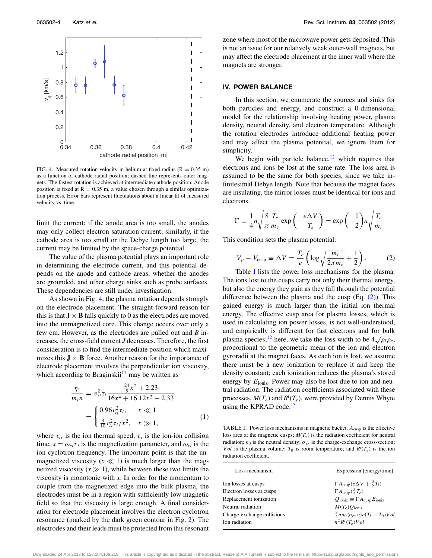<span id="page-4-1"></span>

FIG. 4. Measured rotation velocity in helium at fixed radius ( $R = 0.35$  m) as a function of cathode radial position; dashed line represents outer magnets. The fastest rotation is achieved at intermediate cathode position. Anode position is fixed at  $R = 0.35$  m, a value chosen through a similar optimization process. Error bars represent fluctuations about a linear fit of measured velocity vs. time.

limit the current: if the anode area is too small, the anodes may only collect electron saturation current; similarly, if the cathode area is too small or the Debye length too large, the current may be limited by the space-charge potential.

The value of the plasma potential plays an important role in determining the electrode current, and this potential depends on the anode and cathode areas, whether the anodes are grounded, and other charge sinks such as probe surfaces. These dependencies are still under investigation.

As shown in Fig. [4,](#page-4-1) the plasma rotation depends strongly on the electrode placement. The straight-forward reason for this is that  $J \times B$  falls quickly to 0 as the electrodes are moved into the unmagnetized core. This change occurs over only a few cm. However, as the electrodes are pulled out and *B* increases, the cross-field current *J* decreases. Therefore, the first consideration is to find the intermediate position which maximizes this  $J \times B$  force. Another reason for the importance of electrode placement involves the perpendicular ion viscosity, which according to Braginskii $11$  may be written as

$$
\frac{\eta_1}{m_i n} = v_{ti}^2 \tau_i \frac{\frac{24}{5} x^2 + 2.23}{16x^4 + 16.12x^2 + 2.33}
$$
\n
$$
= \begin{cases}\n0.96 v_{ti}^2 \tau_i, & x \ll 1 \\
\frac{3}{10} v_{ti}^2 \tau_i / x^2, & x \gg 1,\n\end{cases}
$$
\n(1)

where  $v_{ti}$  is the ion thermal speed,  $\tau_i$  is the ion-ion collision time,  $x = \omega_{ci} \tau_i$  is the magnetization parameter, and  $\omega_{ci}$  is the ion cyclotron frequency. The important point is that the unmagnetized viscosity  $(x \ll 1)$  is much larger than the magnetized viscosity  $(x \gg 1)$ , while between these two limits the viscosity is monotonic with *x*. In order for the momentum to couple from the magnetized edge into the bulk plasma, the electrodes must be in a region with sufficiently low magnetic field so that the viscosity is large enough. A final consideration for electrode placement involves the electron cyclotron resonance (marked by the dark green contour in Fig. [2\)](#page-2-1). The electrodes and their leads must be protected from this resonant

zone where most of the microwave power gets deposited. This is not an issue for our relatively weak outer-wall magnets, but may affect the electrode placement at the inner wall where the magnets are stronger.

#### <span id="page-4-0"></span>**IV. POWER BALANCE**

In this section, we enumerate the sources and sinks for both particles and energy, and construct a 0-dimensional model for the relationship involving heating power, plasma density, neutral density, and electron temperature. Although the rotation electrodes introduce additional heating power and may affect the plasma potential, we ignore them for simplicity.

We begin with particle balance, $12$  which requires that electrons and ions be lost at the same rate. The loss area is assumed to be the same for both species, since we take infinitesimal Debye length. Note that because the magnet faces are insulating, the mirror losses must be identical for ions and electrons.

$$
\Gamma = \frac{1}{4}n\sqrt{\frac{8}{\pi}}\frac{T_e}{m_e} \exp\left(-\frac{e\Delta V}{T_e}\right) = \exp\left(-\frac{1}{2}\right)n\sqrt{\frac{T_e}{m_i}}
$$

This condition sets the plasma potential:

<span id="page-4-3"></span>
$$
V_p - V_{\text{cusp}} \equiv \Delta V = \frac{T_e}{e} \left( \log \sqrt{\frac{m_i}{2\pi m_e}} + \frac{1}{2} \right). \tag{2}
$$

Table [I](#page-4-2) lists the power loss mechanisms for the plasma. The ions lost to the cusps carry not only their thermal energy, but also the energy they gain as they fall through the potential difference between the plasma and the cusp  $(Eq. (2))$  $(Eq. (2))$ . This gained energy is much larger than the initial ion thermal energy. The effective cusp area for plasma losses, which is used in calculating ion power losses, is not well-understood, and empirically is different for fast electrons and for bulk plasma species;<sup>[12](#page-6-11)</sup> here, we take the loss width to be  $4\sqrt{\rho_i \rho_e}$ , proportional to the geometric mean of the ion and electron gyroradii at the magnet faces. As each ion is lost, we assume there must be a new ionization to replace it and keep the density constant; each ionization reduces the plasma's stored energy by  $E_{\text{ioniz}}$ . Power may also be lost due to ion and neutral radiation. The radiation coefficients associated with these processes,  $M(T_e)$  and  $R^i(T_e)$ , were provided by Dennis Whyte using the KPRAD code. $13$ 

<span id="page-4-2"></span>TABLE I. Power loss mechanisms in magnetic bucket.  $A_{\text{cusp}}$  is the effective loss area at the magnetic cusps;  $M(T_e)$  is the radiation coefficient for neutral radiation;  $n_0$  is the neutral density;  $\sigma_{cx}$  is the charge-exchange cross-section; *V ol* is the plasma volume;  $T_0$  is room temperature; and  $R^i(T_e)$  is the ion radiation coefficient.

| Loss mechanism             | Expression [energy/time]                                          |
|----------------------------|-------------------------------------------------------------------|
| Ion losses at cusps        | $\Gamma A_{\text{cusp}} (e \Delta V + \frac{3}{2} T_i)$           |
| Electron losses at cusps   | $\Gamma A_{\text{cusp}}(\frac{3}{2}T_e)$                          |
| Replacement ionization     | $Q_{\text{ioniz}} \equiv \Gamma A_{\text{cusp}} E_{\text{ioniz}}$ |
| Neutral radiation          | $M(T_e)O_{\text{ioniz}}$                                          |
| Charge-exchange collisions | $\frac{3}{2}nn_0\langle\sigma_{cx}v\rangle e(T_i-T_0)Vol$         |
| Ion radiation              | $n^2 R^i(T_e) Vol$                                                |

Downloaded 24 Apr 2013 to 128.104.166.218. This article is copyrighted as indicated in the abstract. Reuse of AIP content is subject to the terms at: http://rsi.aip.org/about/rights\_and\_permissions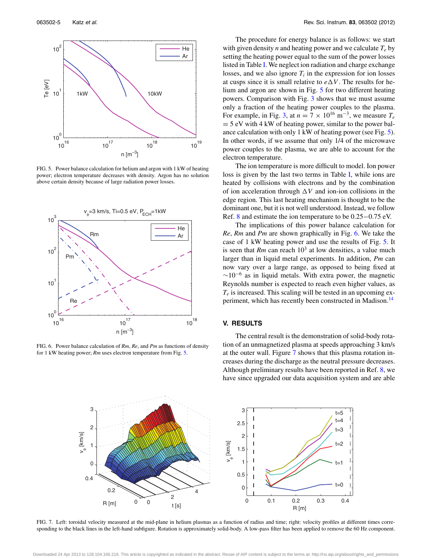<span id="page-5-1"></span>

FIG. 5. Power balance calculation for helium and argon with 1 kW of heating power; electron temperature decreases with density. Argon has no solution above certain density because of large radiation power losses.

<span id="page-5-2"></span>

FIG. 6. Power balance calculation of *Rm*, *Re*, and *Pm* as functions of density for 1 kW heating power; *Rm* uses electron temperature from Fig. [5.](#page-5-1)

The procedure for energy balance is as follows: we start with given density *n* and heating power and we calculate  $T_e$  by setting the heating power equal to the sum of the power losses listed in Table [I.](#page-4-2) We neglect ion radiation and charge exchange losses, and we also ignore  $T_i$  in the expression for ion losses at cusps since it is small relative to  $e\Delta V$ . The results for helium and argon are shown in Fig. [5](#page-5-1) for two different heating powers. Comparison with Fig. [3](#page-3-1) shows that we must assume only a fraction of the heating power couples to the plasma. For example, in Fig. [3,](#page-3-1) at  $n = 7 \times 10^{16}$  m<sup>-3</sup>, we measure  $T_e$  $= 5$  eV with 4 kW of heating power, similar to the power balance calculation with only 1 kW of heating power (see Fig. [5\)](#page-5-1). In other words, if we assume that only 1/4 of the microwave power couples to the plasma, we are able to account for the electron temperature.

The ion temperature is more difficult to model. Ion power loss is given by the last two terms in Table [I,](#page-4-2) while ions are heated by collisions with electrons and by the combination of ion acceleration through  $\Delta V$  and ion-ion collisions in the edge region. This last heating mechanism is thought to be the dominant one, but it is not well understood. Instead, we follow Ref. [8](#page-6-6) and estimate the ion temperature to be 0.25−0.75 eV.

The implications of this power balance calculation for *Re*, *Rm* and *Pm* are shown graphically in Fig. [6.](#page-5-2) We take the case of 1 kW heating power and use the results of Fig. [5.](#page-5-1) It is seen that  $Rm$  can reach  $10<sup>3</sup>$  at low densities, a value much larger than in liquid metal experiments. In addition, *Pm* can now vary over a large range, as opposed to being fixed at  $\sim$ 10<sup>-6</sup> as in liquid metals. With extra power, the magnetic Reynolds number is expected to reach even higher values, as  $T_e$  is increased. This scaling will be tested in an upcoming ex-periment, which has recently been constructed in Madison.<sup>[14](#page-6-13)</sup>

### <span id="page-5-0"></span>**V. RESULTS**

The central result is the demonstration of solid-body rotation of an unmagnetized plasma at speeds approaching 3 km/s at the outer wall. Figure [7](#page-5-3) shows that this plasma rotation increases during the discharge as the neutral pressure decreases. Although preliminary results have been reported in Ref. [8,](#page-6-6) we have since upgraded our data acquisition system and are able

<span id="page-5-3"></span>

FIG. 7. Left: toroidal velocity measured at the mid-plane in helium plasmas as a function of radius and time; right: velocity profiles at different times corresponding to the black lines in the left-hand subfigure. Rotation is approximately solid-body. A low-pass filter has been applied to remove the 60 Hz component.

Downloaded 24 Apr 2013 to 128.104.166.218. This article is copyrighted as indicated in the abstract. Reuse of AIP content is subject to the terms at: http://rsi.aip.org/about/rights\_and\_permissions